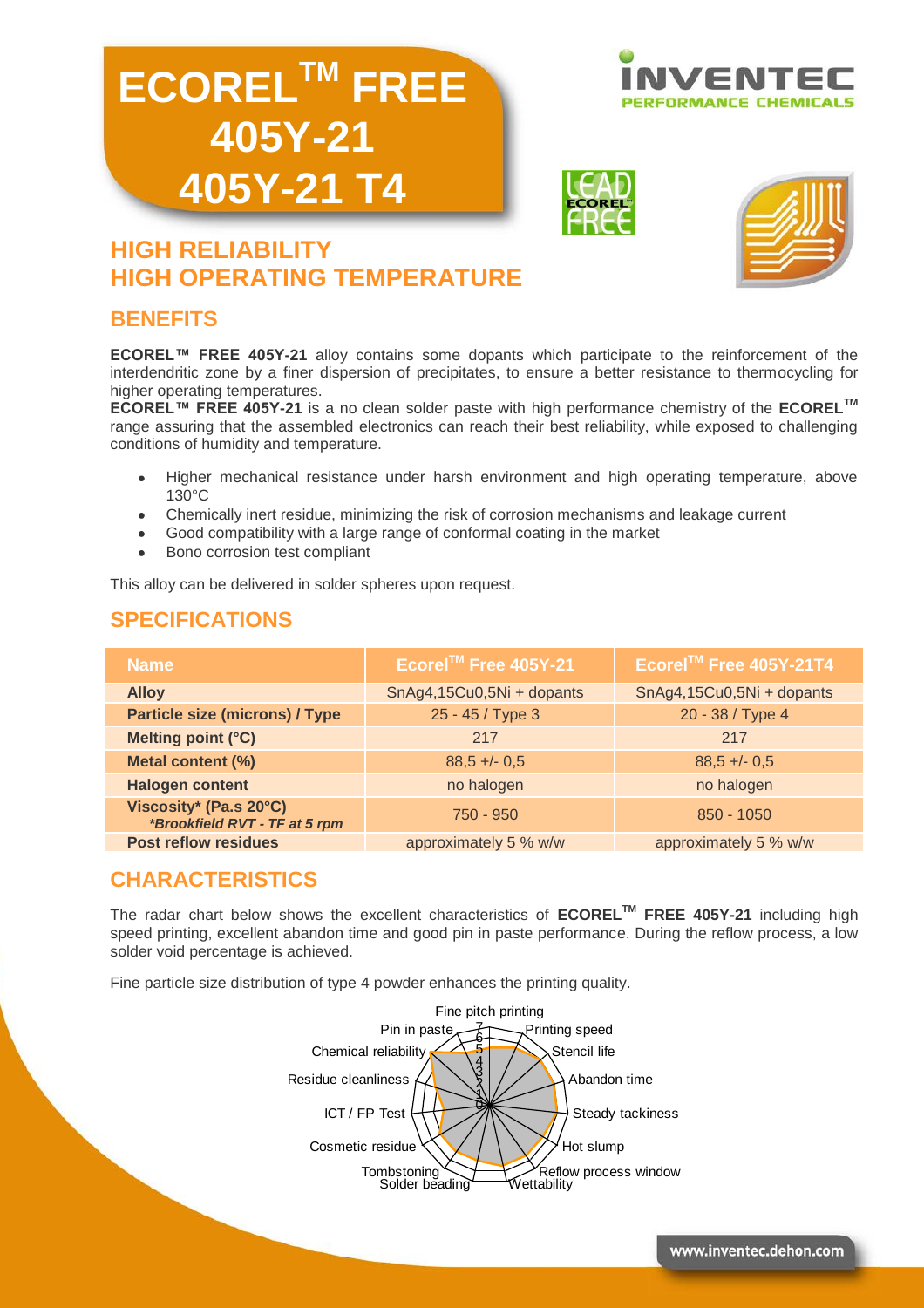# **ECORELTM FREE 405Y-21 405Y-21 T4**







# **HIGH RELIABILITY HIGH OPERATING TEMPERATURE**

# **BENEFITS**

**ECOREL™ FREE 405Y-21** alloy contains some dopants which participate to the reinforcement of the interdendritic zone by a finer dispersion of precipitates, to ensure a better resistance to thermocycling for higher operating temperatures.

**ECOREL™ FREE 405Y-21** is a no clean solder paste with high performance chemistry of the **ECORELTM** range assuring that the assembled electronics can reach their best reliability, while exposed to challenging conditions of humidity and temperature.

- Higher mechanical resistance under harsh environment and high operating temperature, above 130°C
- Chemically inert residue, minimizing the risk of corrosion mechanisms and leakage current
- Good compatibility with a large range of conformal coating in the market
- Bono corrosion test compliant

This alloy can be delivered in solder spheres upon request.

# **SPECIFICATIONS**

| Name                                                    | Ecorel™ Free 405Y-21      | Ecorel™ Free 405Y-21T4    |
|---------------------------------------------------------|---------------------------|---------------------------|
| <b>Alloy</b>                                            | SnAg4,15Cu0,5Ni + dopants | SnAg4,15Cu0,5Ni + dopants |
| <b>Particle size (microns) / Type</b>                   | 25 - 45 / Type 3          | 20 - 38 / Type 4          |
| Melting point (°C)                                      | 217                       | 217                       |
| Metal content (%)                                       | $88.5 + - 0.5$            | $88,5 +/- 0,5$            |
| <b>Halogen content</b>                                  | no halogen                | no halogen                |
| Viscosity* (Pa.s 20°C)<br>*Brookfield RVT - TF at 5 rpm | 750 - 950                 | $850 - 1050$              |
| <b>Post reflow residues</b>                             | approximately 5 % w/w     | approximately 5 % w/w     |

# **CHARACTERISTICS**

The radar chart below shows the excellent characteristics of **ECORELTM FREE 405Y-21** including high speed printing, excellent abandon time and good pin in paste performance. During the reflow process, a low solder void percentage is achieved.

Fine particle size distribution of type 4 powder enhances the printing quality.

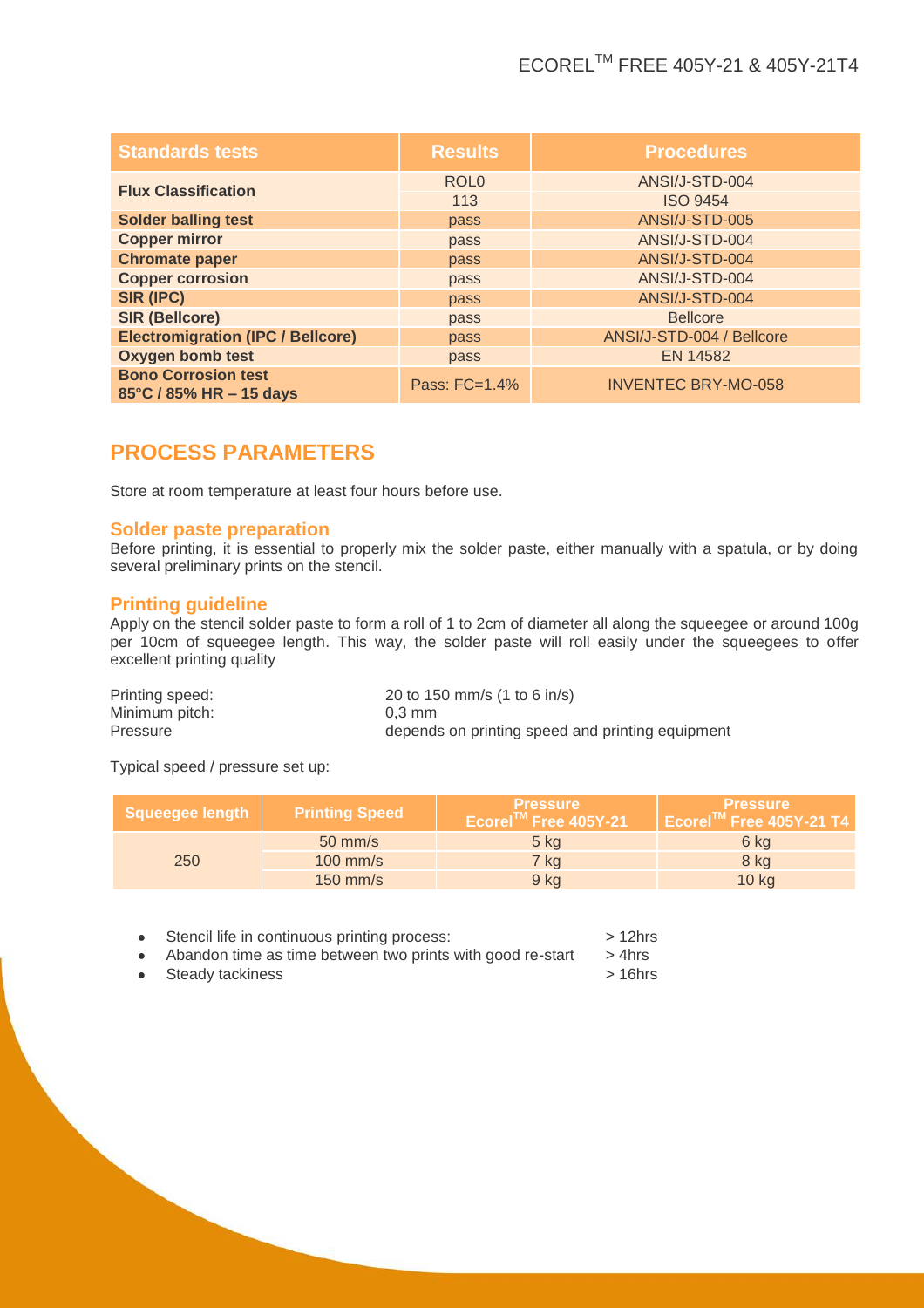## ECORELTM FREE 405Y-21 & 405Y-21T4

| <b>Standards tests</b>                                | <b>Results</b>   | <b>Procedures</b>          |
|-------------------------------------------------------|------------------|----------------------------|
|                                                       | ROL <sub>0</sub> | ANSI/J-STD-004             |
| <b>Flux Classification</b>                            | 113              | <b>ISO 9454</b>            |
| <b>Solder balling test</b>                            | pass             | ANSI/J-STD-005             |
| <b>Copper mirror</b>                                  | pass             | ANSI/J-STD-004             |
| <b>Chromate paper</b>                                 | pass             | ANSI/J-STD-004             |
| <b>Copper corrosion</b>                               | pass             | ANSI/J-STD-004             |
| SIR (IPC)                                             | pass             | ANSI/J-STD-004             |
| <b>SIR (Bellcore)</b>                                 | pass             | <b>Bellcore</b>            |
| <b>Electromigration (IPC / Bellcore)</b>              | pass             | ANSI/J-STD-004 / Bellcore  |
| <b>Oxygen bomb test</b>                               | pass             | <b>EN 14582</b>            |
| <b>Bono Corrosion test</b><br>85°C / 85% HR - 15 days | Pass: $FC=1.4%$  | <b>INVENTEC BRY-MO-058</b> |

## **PROCESS PARAMETERS**

Store at room temperature at least four hours before use.

#### **Solder paste preparation**

Before printing, it is essential to properly mix the solder paste, either manually with a spatula, or by doing several preliminary prints on the stencil.

#### **Printing guideline**

Apply on the stencil solder paste to form a roll of 1 to 2cm of diameter all along the squeegee or around 100g per 10cm of squeegee length. This way, the solder paste will roll easily under the squeegees to offer excellent printing quality

| Printing speed: | 20 to 150 mm/s $(1 \text{ to } 6 \text{ in/s})$  |
|-----------------|--------------------------------------------------|
| Minimum pitch:  | $0.3 \text{ mm}$                                 |
| Pressure        | depends on printing speed and printing equipment |

Typical speed / pressure set up:

| <b>Squeegee length</b> | <b>Printing Speed</b> | <b>Pressure</b><br>Ecorel™ Free 405Y-21 | <b>Pressure</b><br>Ecorel™ Free 405Y-21 T4 |
|------------------------|-----------------------|-----------------------------------------|--------------------------------------------|
|                        | $50 \text{ mm/s}$     | $5$ kg                                  | 6 kg                                       |
| 250                    | $100$ mm/s            | 7 kg                                    | 8 kg                                       |
|                        | $150$ mm/s            | 9 kg                                    | $10$ kg                                    |

- Stencil life in continuous printing process: > 12hrs
- Abandon time as time between two prints with good re-start  $\Rightarrow$  4hrs
- Steady tackiness > 16hrs
- 
-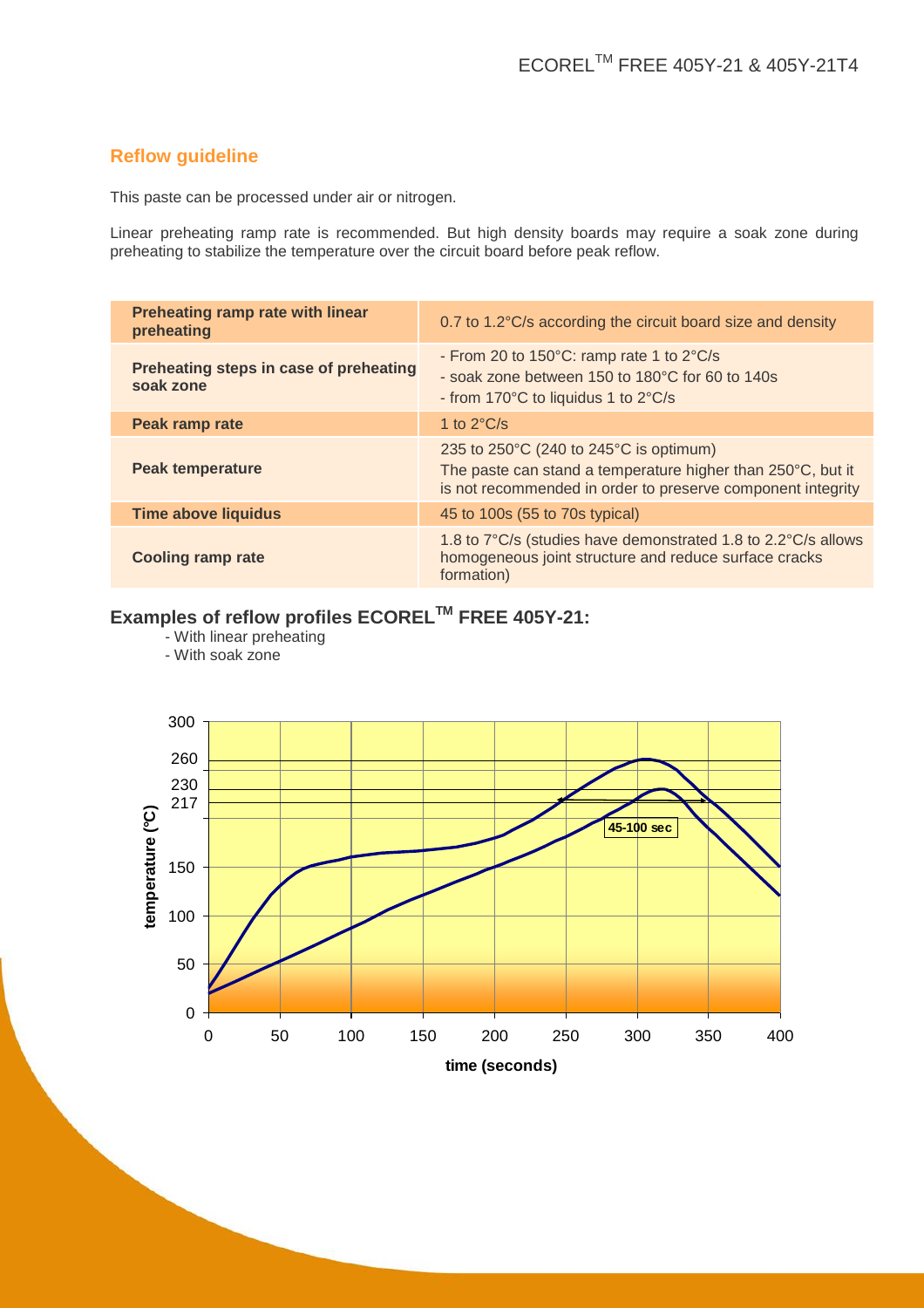## **Reflow guideline**

This paste can be processed under air or nitrogen.

Linear preheating ramp rate is recommended. But high density boards may require a soak zone during preheating to stabilize the temperature over the circuit board before peak reflow.

| Preheating ramp rate with linear<br>preheating      | 0.7 to 1.2°C/s according the circuit board size and density                                                                                                                              |
|-----------------------------------------------------|------------------------------------------------------------------------------------------------------------------------------------------------------------------------------------------|
| Preheating steps in case of preheating<br>soak zone | - From 20 to 150°C: ramp rate 1 to 2°C/s<br>- soak zone between 150 to 180°C for 60 to 140s<br>- from 170°C to liquidus 1 to 2°C/s                                                       |
| Peak ramp rate                                      | 1 to $2^{\circ}$ C/s                                                                                                                                                                     |
| <b>Peak temperature</b>                             | 235 to $250^{\circ}$ C (240 to $245^{\circ}$ C is optimum)<br>The paste can stand a temperature higher than 250°C, but it<br>is not recommended in order to preserve component integrity |
| <b>Time above liquidus</b>                          | 45 to 100s (55 to 70s typical)                                                                                                                                                           |
| <b>Cooling ramp rate</b>                            | 1.8 to 7°C/s (studies have demonstrated 1.8 to 2.2°C/s allows<br>homogeneous joint structure and reduce surface cracks<br>formation)                                                     |

#### **Examples of reflow profiles ECORELTM FREE 405Y-21:** Process Continued Process Continued Process Process Process Process Process Process Process Process Process Process Process Process Process Process Process Process Process Process Process Process Process Process Process Pr

- With soak zone